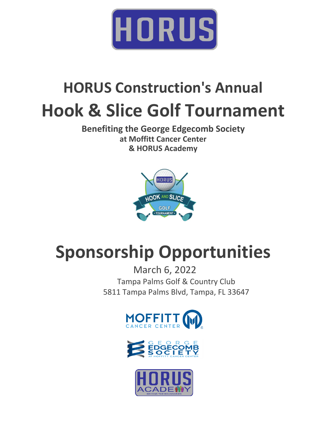

## **HORUS Construction's Annual Hook & Slice Golf Tournament**

**Benefiting the George Edgecomb Society at Moffitt Cancer Center & HORUS Academy**



# **Sponsorship Opportunities**

March 6, 2022 Tampa Palms Golf & Country Club 5811 Tampa Palms Blvd, Tampa, FL 33647





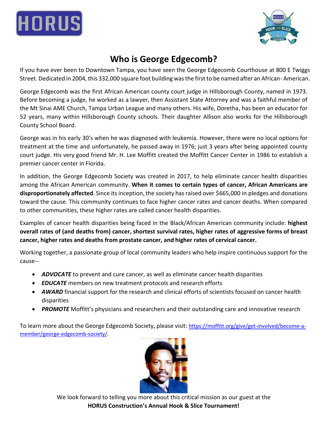



### **Who is George Edgecomb?**

If you have ever been to Downtown Tampa, you have seen the George Edgecomb Courthouse at 800 E Twiggs Street. Dedicated in 2004, this 332,000 square foot building was the first to be named after an African- American.

George Edgecomb was the first African American county court judge in Hillsborough County, named in 1973. Before becoming a judge, he worked as a lawyer, then Assistant State Attorney and was a faithful member of the Mt Sinai AME Church, Tampa Urban League and many others. His wife, Doretha, has been an educator for 52 years, many within Hillsborough County schools. Their daughter Allison also works for the Hillsborough County School Board.

George was in his early 30's when he was diagnosed with leukemia. However, there were no local options for treatment at the time and unfortunately, he passed away in 1976; just 3 years after being appointed county court judge. His very good friend Mr. H. Lee Moffitt created the Moffitt Cancer Center in 1986 to establish a premier cancer center in Florida.

In addition, the George Edgecomb Society was created in 2017, to help eliminate cancer health disparities among the African American community. **When it comes to certain types of cancer, African Americans are disproportionately affected**. Since itsinception, the society hasraised over \$665,000 in pledges and donations toward the cause. This community continues to face higher cancer rates and cancer deaths. When compared to other communities, these higher rates are called cancer health disparities.

Examples of cancer health disparities being faced in the Black/African American community include: **highest overall rates of (and deaths from) cancer, shortest survival rates, higher rates of aggressive forms of breast cancer, higher rates and deaths from prostate cancer, and higher rates of cervical cancer.**

Working together, a passionate group of local community leaders who help inspire continuous support for the cause--

- *ADVOCATE* to prevent and cure cancer, as well as eliminate cancer health disparities
- *EDUCATE* members on new treatment protocols and research efforts
- *AWARD* financial support for the research and clinical efforts of scientists focused on cancer health disparities
- *PROMOTE* Moffitt's physicians and researchers and their outstanding care and innovative research

To learn more about the George Edgecomb Society, please visit: [https://moffitt.org/give/get-involved/become-a](https://moffitt.org/give/get-involved/become-a-member/george-edgecomb-society/)[member/george-edgecomb-society/.](https://moffitt.org/give/get-involved/become-a-member/george-edgecomb-society/)



We look forward to telling you more about this critical mission as our guest at the **HORUS Construction's Annual Hook & Slice Tournament!**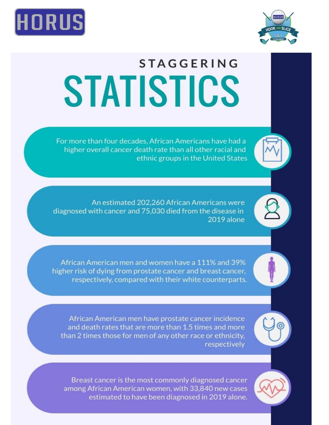



# **STAGGERING** STATISTICS

For more than four decades, African Americans have had a higher overall cancer death rate than all other racial and ethnic groups in the United States

An estimated 202.260 African Americans were diagnosed with cancer and 75,030 died from the disease in 2019 alone

African American men and women have a 111% and 39% higher risk of dying from prostate cancer and breast cancer, respectively, compared with their white counterparts.

African American men have prostate cancer incidence and death rates that are more than 1.5 times and more than 2 times those for men of any other race or ethnicity, respectively

Breast cancer is the most commonly diagnosed cancer among African American women, with 33,840 new cases estimated to have been diagnosed in 2019 alone.

To become a sponsor or to learn more, please contact Angela Williams at angela.williams@horus-cs.com or 813-519-2574.

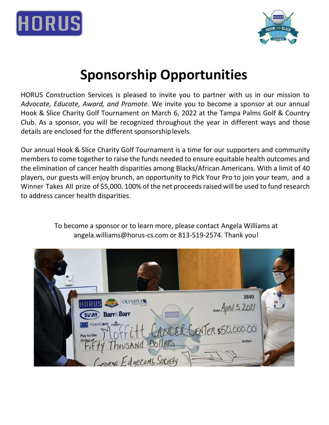



### **Sponsorship Opportunities**

HORUS Construction Services is pleased to invite you to partner with us in our mission to *Advocate, Educate, Award, and Promote*. We invite you to become a sponsor at our annual Hook & Slice Charity Golf Tournament on March 6, 2022 at the Tampa Palms Golf & Country Club. As a sponsor, you will be recognized throughout the year in different ways and those details are enclosed for the different sponsorshiplevels.

Our annual Hook & Slice Charity Golf Tournament is a time for our supporters and community members to come together to raise the funds needed to ensure equitable health outcomes and the elimination of cancer health disparities among Blacks/African Americans. With a limit of 40 players, our guests will enjoy brunch, an opportunity to Pick Your Pro to join your team, and a Winner Takes All prize of \$5,000. 100% of the net proceeds raised will be used to fund research to address cancer health disparities.

#### To become a sponsor or to learn more, please contact Angela Williams at angela.williams@horus-cs.com or 813-519-2574. Thank you!

| ൘ |                                                                                                      |                                             |  |
|---|------------------------------------------------------------------------------------------------------|---------------------------------------------|--|
|   | <b>OLYMPIAL</b><br><b>WM</b> Barr&Barr<br><b>HORUS</b>                                               | 3840<br>Date April 5, 2021                  |  |
|   | <b>BIC</b> POINTCORE KENING<br>Pay to the<br>Order of<br>Thousand Dollars<br>GEORGE EdgeComb Society | CANCEROCENTER \$50,000.00<br><b>Dollars</b> |  |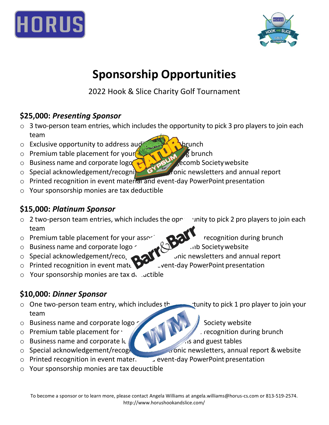



### **Sponsorship Opportunities**

2022 Hook & Slice Charity Golf Tournament

### **\$25,000:** *Presenting Sponsor*

- $\circ$  3 two-person team entries, which includes the opportunity to pick 3 pro players to join each team
- $\circ$  Exclusive opportunity to address audience during brunch
- $\circ$  Premium table placement for your associates during brunch
- $\circ$  Business name and corporate logo of George Edgecomb Society website
- o Special acknowledgement/recognition in the contract rewsletters and annual report
- o Printed recognition in event material and event-day PowerPoint presentation
- o Your sponsorship monies are tax deductible

### **\$15,000:** *Platinum Sponsor*

- $\circ$  2 two-person team entries, which includes the ope sunity to pick 2 pro players to join each team
- o Premium table placement for your association  $\mathbf{C}$
- o Business name and corporate logo
- o Special acknowledgement/recognition in electronic newsletters and annual report
- $\circ$  Printed recognition in event mate event-day PowerPoint presentation
- $\circ$  Your sponsorship monies are tax deductible

### **\$10,000:** *Dinner Sponsor*

- $\circ$  One two-person team entry, which includes the studies to pick 1 pro player to join your team
- $\circ$  Business name and corporate logo  $\sim$  George Edge $\sim$  Society website
- $\circ$  Premium table placement for  $\sqrt{2\pi M}$   $\sqrt{2\pi M}$  recognition during brunch
- $\circ$  Business name and corporate logo at all food stations and guest tables
- 
- $\circ$  Printed recognition in event mater.  $\bullet$  event-day PowerPoint presentation
- $\circ$  Your sponsorship monies are tax deductible
- 
- 
- 
- o Special acknowledgement/recognition in a control of special acknowledgement/recognition in annual report & website
	-
- -
- 
-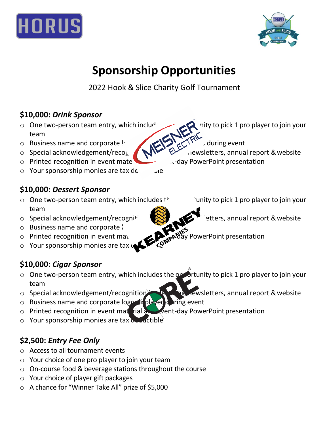



### **Sponsorship Opportunities**

2022 Hook & Slice Charity Golf Tournament

### **\$10,000:** *Drink Sponsor*

- o One two-person team entry, which includes the option of team of Business name and corporate leads the option of the option of the option of the option of the option of the option of the option of the option of the optio team
- o Business name and corporate logo at all beverage stations during event
- 
- o Printed recognition in event material and event-day PowerPoint presentation
- o Your sponsorship monies are tax de  $\Box$

### **\$10,000:** *Dessert Sponsor*

- $\circ$  One two-person team entry, which includes  $t^+$  opportunity to pick 1 pro player to join your team
- $\circ$  Special acknowledgement/recognition in the setters, annual report & website
- $\circ$  Business name and corporate logo
- 
- Your sponsorship monies are tax  $\alpha$

### **\$10,000:** *Cigar Sponsor*

- $\circ$  One two-person team entry, which includes the opportunity to pick 1 pro player to join your team
- o Special acknowledgement/recognition in the million rewsletters, annual report & website
- $\circ$  Business name and corporate logo displayed during event
- $\circ$  Printed recognition in event material and event-day PowerPoint presentation
- $\circ$  Your sponsorship monies are tax deductible

### **\$2,500:** *Entry Fee Only*

- o Access to all tournament events
- o Your choice of one pro player to join your team
- o On-course food & beverage stations throughout the course
- o Your choice of player gift packages
- o A chance for "Winner Take All" prize of \$5,000
- 
- o Special acknowledgement/reco<sub>b</sub> **NIM** ELECTRONIC newsletters, annual report & website
	-
	-
- o Printed recognition in event material and event-day PowerPoint presentation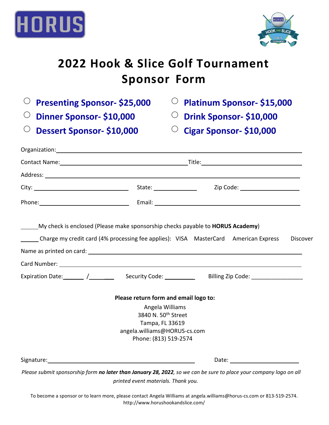



### **2022 Hook & Slice Golf Tournament Sponsor Form**

|  | $\circ$ Presenting Sponsor-\$25,000 |  |
|--|-------------------------------------|--|
|--|-------------------------------------|--|

⃝ **Dinner Sponsor- \$10,000** ⃝ **Drink Sponsor- \$10,000**

⃝ **Dessert Sponsor- \$10,000** ⃝ **Cigar Sponsor- \$10,000**

⃝ **Presenting Sponsor- \$25,000** ⃝ **Platinum Sponsor- \$15,000**

|                       | Contact Name: 1988 Contact Name: 1988 Contact Name: 1988 Contact Name: 1988 Contact Name: 1988 Contact Name: 1988 Contact Name: 1988 Contact Name: 1988 Contact Name: 1988 Contact Name: 1988 Contact Name: 1988 Contact Name: |                                                                                                                    |          |  |  |
|-----------------------|--------------------------------------------------------------------------------------------------------------------------------------------------------------------------------------------------------------------------------|--------------------------------------------------------------------------------------------------------------------|----------|--|--|
|                       |                                                                                                                                                                                                                                |                                                                                                                    |          |  |  |
|                       | State: _________________                                                                                                                                                                                                       | Zip Code: _____________________                                                                                    |          |  |  |
|                       |                                                                                                                                                                                                                                |                                                                                                                    |          |  |  |
|                       | My check is enclosed (Please make sponsorship checks payable to <b>HORUS Academy</b> )                                                                                                                                         | Charge my credit card (4% processing fee applies): VISA MasterCard American Express                                | Discover |  |  |
|                       |                                                                                                                                                                                                                                |                                                                                                                    |          |  |  |
|                       |                                                                                                                                                                                                                                |                                                                                                                    |          |  |  |
|                       |                                                                                                                                                                                                                                |                                                                                                                    |          |  |  |
|                       | Please return form and email logo to:<br>Angela Williams<br>3840 N. 50 <sup>th</sup> Street<br>Tampa, FL 33619<br>angela.williams@HORUS-cs.com<br>Phone: (813) 519-2574                                                        |                                                                                                                    |          |  |  |
| Signature: Signature: |                                                                                                                                                                                                                                | Date: and the state of the state of the state of the state of the state of the state of the state of the state     |          |  |  |
|                       | printed event materials. Thank you.                                                                                                                                                                                            | Please submit sponsorship form no later than January 28, 2022, so we can be sure to place your company logo on all |          |  |  |

To become a sponsor or to learn more, please contact Angela Williams at angela.williams@horus-cs.com or 813-519-2574. http://www.horushookandslice.com/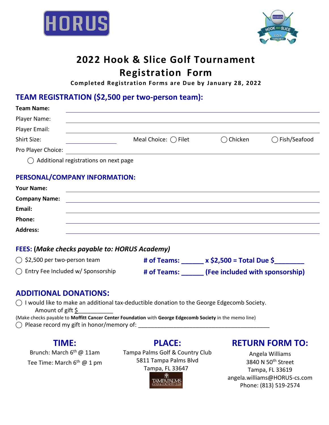



### **2022 Hook & Slice Golf Tournament Registration Form**

**Completed Registration Forms are Due by January 28, 2022**

### **TEAM REGISTRATION (\$2,500 per two-person team):**

| <b>Team Name:</b>                                |                              |                   |                |
|--------------------------------------------------|------------------------------|-------------------|----------------|
| Player Name:                                     |                              |                   |                |
| Player Email:                                    |                              |                   |                |
| Shirt Size:                                      | Meal Choice: $\bigcap$ Filet | $\bigcap$ Chicken | ◯ Fish/Seafood |
| Pro Player Choice:                               |                              |                   |                |
| $\bigcirc$ Additional registrations on next page |                              |                   |                |

#### **PERSONAL/COMPANY INFORMATION:**

| <b>Your Name:</b>    |  |
|----------------------|--|
| <b>Company Name:</b> |  |
| Email:               |  |
| Phone:               |  |
| <b>Address:</b>      |  |

#### **FEES: (***Make checks payable to: HORUS Academy)*

| $\bigcirc$ \$2,500 per two-person team      | # of Teams: | $x$ \$2,500 = Total Due \$      |
|---------------------------------------------|-------------|---------------------------------|
| $\bigcap$ Entry Fee Included w/ Sponsorship | # of Teams: | (Fee included with sponsorship) |

#### **ADDITIONAL DONATIONS:**

⃝ I would like to make an additional tax-deductible donation to the George Edgecomb Society. Amount of gift \$

(Make checks payable to **Moffitt Cancer Center Foundation** with **George Edgecomb Society** in the memo line)  $\bigcirc$  Please record my gift in honor/memory of:

### **TIME:**

Brunch: March 6<sup>th</sup> @ 11am Tee Time: March 6<sup>th</sup> @ 1 pm Tampa Palms Golf & Country Club 5811 Tampa Palms Blvd Tampa, FL 33647

**PLACE:**

### **RETURN FORM TO:**

Angela Williams 3840 N 50th Street Tampa, FL 33619 [angela.williams@HORUS-cs.com](mailto:C.Vann@MOWTampa.org) Phone: (813) 519-2574